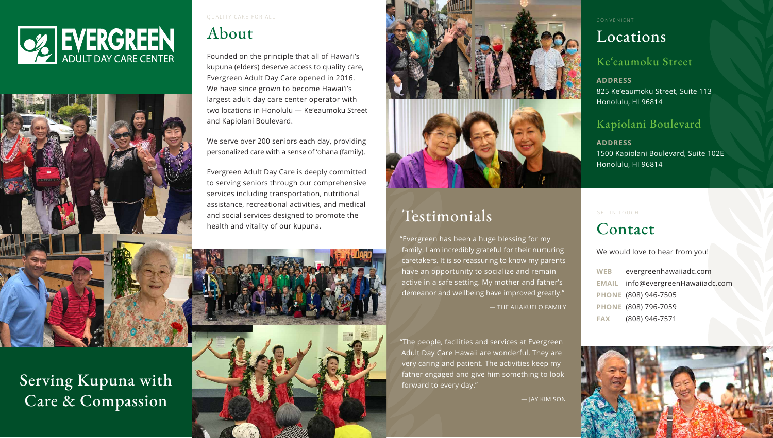



Serving Kupuna with Care & Compassion

QUALITY CARE FOR ALL

## About

Founded on the principle that all of Hawai'i's kupuna (elders) deserve access to quality care, Evergreen Adult Day Care opened in 2016. We have since grown to become Hawai'i's largest adult day care center operator with two locations in Honolulu — Ke'eaumoku Street and Kapiolani Boulevard.

We serve over 200 seniors each day, providing personalized care with a sense of 'ohana (family).

Evergreen Adult Day Care is deeply committed to serving seniors through our comprehensive services including transportation, nutritional assistance, recreational activities, and medical and social services designed to promote the health and vitality of our kupuna.





GET IN TOUCH

### Contact

We would love to hear from you!

- **WEB** evergreenhawaiiadc.com
- **EMAIL** info@evergreenHawaiiadc.com
- **PHONE** (808) 946-7505
- **PHONE** (808) 796-7059
- **FAX** (808) 946-7571



CONVENIENT

### Locations

#### Ke'eaumoku Street

**ADDRESS** 825 Ke'eaumoku Street, Suite 113 Honolulu, HI 96814

#### Kapiolani Boulevard

**ADDRESS** 1500 Kapiolani Boulevard, Suite 102E Honolulu, HI 96814

# Testimonials

"Evergreen has been a huge blessing for my family. I am incredibly grateful for their nurturing caretakers. It is so reassuring to know my parents have an opportunity to socialize and remain active in a safe setting. My mother and father's demeanor and wellbeing have improved greatly."

— THE AHAKUELO FAMILY

"The people, facilities and services at Evergreen Adult Day Care Hawaii are wonderful. They are very caring and patient. The activities keep my father engaged and give him something to look forward to every day."

— JAY KIM SON